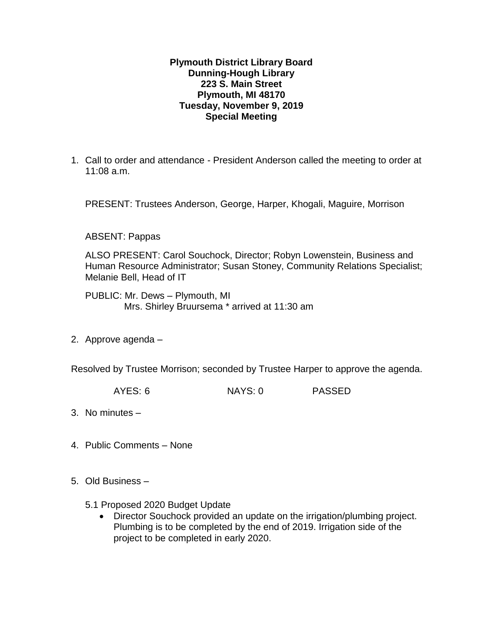## **Plymouth District Library Board Dunning-Hough Library 223 S. Main Street Plymouth, MI 48170 Tuesday, November 9, 2019 Special Meeting**

1. Call to order and attendance - President Anderson called the meeting to order at 11:08 a.m.

PRESENT: Trustees Anderson, George, Harper, Khogali, Maguire, Morrison

ABSENT: Pappas

ALSO PRESENT: Carol Souchock, Director; Robyn Lowenstein, Business and Human Resource Administrator; Susan Stoney, Community Relations Specialist; Melanie Bell, Head of IT

PUBLIC: Mr. Dews – Plymouth, MI Mrs. Shirley Bruursema \* arrived at 11:30 am

2. Approve agenda –

Resolved by Trustee Morrison; seconded by Trustee Harper to approve the agenda.

AYES: 6 NAYS: 0 PASSED

- 3. No minutes –
- 4. Public Comments None
- 5. Old Business
	- 5.1 Proposed 2020 Budget Update
		- Director Souchock provided an update on the irrigation/plumbing project. Plumbing is to be completed by the end of 2019. Irrigation side of the project to be completed in early 2020.